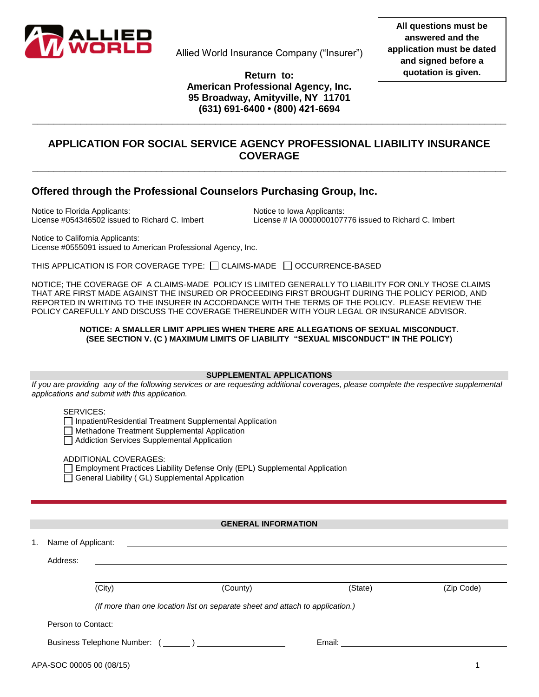

Allied World Insurance Company ("Insurer")

**Return to: American Professional Agency, Inc. 95 Broadway, Amityville, NY 11701 (631) 691-6400 • (800) 421-6694**

**\_\_\_\_\_\_\_\_\_\_\_\_\_\_\_\_\_\_\_\_\_\_\_\_\_\_\_\_\_\_\_\_\_\_\_\_\_\_\_\_\_\_\_\_\_\_\_\_\_\_\_\_\_\_\_\_\_\_\_\_\_\_\_\_\_\_\_\_\_\_\_\_\_\_\_\_\_\_\_\_\_\_\_\_\_\_\_\_**

### **APPLICATION FOR SOCIAL SERVICE AGENCY PROFESSIONAL LIABILITY INSURANCE COVERAGE \_\_\_\_\_\_\_\_\_\_\_\_\_\_\_\_\_\_\_\_\_\_\_\_\_\_\_\_\_\_\_\_\_\_\_\_\_\_\_\_\_\_\_\_\_\_\_\_\_\_\_\_\_\_\_\_\_\_\_\_\_\_\_\_\_\_\_\_\_\_\_\_\_\_\_\_\_\_\_\_\_\_\_\_\_\_\_\_**

### **Offered through the Professional Counselors Purchasing Group, Inc.**

Notice to Florida Applicants: Notice to Iowa Applicants:

License #054346502 issued to Richard C. Imbert License # IA 0000000107776 issued to Richard C. Imbert

Notice to California Applicants: License #0555091 issued to American Professional Agency, Inc.

THIS APPLICATION IS FOR COVERAGE TYPE:  $\Box$  CLAIMS-MADE  $\Box$  OCCURRENCE-BASED

NOTICE; THE COVERAGE OF A CLAIMS-MADE POLICY IS LIMITED GENERALLY TO LIABILITY FOR ONLY THOSE CLAIMS THAT ARE FIRST MADE AGAINST THE INSURED OR PROCEEDING FIRST BROUGHT DURING THE POLICY PERIOD, AND REPORTED IN WRITING TO THE INSURER IN ACCORDANCE WITH THE TERMS OF THE POLICY. PLEASE REVIEW THE POLICY CAREFULLY AND DISCUSS THE COVERAGE THEREUNDER WITH YOUR LEGAL OR INSURANCE ADVISOR.

#### **NOTICE: A SMALLER LIMIT APPLIES WHEN THERE ARE ALLEGATIONS OF SEXUAL MISCONDUCT. (SEE SECTION V. (C ) MAXIMUM LIMITS OF LIABILITY "SEXUAL MISCONDUCT" IN THE POLICY)**

#### **SUPPLEMENTAL APPLICATIONS**

*If you are providing any of the following services or are requesting additional coverages, please complete the respective supplemental applications and submit with this application.*

#### SERVICES:

□ Inpatient/Residential Treatment Supplemental Application

**Methadone Treatment Supplemental Application** 

Addiction Services Supplemental Application

ADDITIONAL COVERAGES:

Employment Practices Liability Defense Only (EPL) Supplemental Application General Liability (GL) Supplemental Application

#### **GENERAL INFORMATION**

| 1. | Name of Applicant: |        |                                                                                                                                                                                                                                     |                                                                                                                                                                                                                                |            |
|----|--------------------|--------|-------------------------------------------------------------------------------------------------------------------------------------------------------------------------------------------------------------------------------------|--------------------------------------------------------------------------------------------------------------------------------------------------------------------------------------------------------------------------------|------------|
|    | Address:           |        | <u> 1989 - Johann Stoff, deutscher Stoff, der Stoff, der Stoff, der Stoff, der Stoff, der Stoff, der Stoff, der S</u>                                                                                                               |                                                                                                                                                                                                                                |            |
|    |                    | (City) | (County)                                                                                                                                                                                                                            | (State)                                                                                                                                                                                                                        | (Zip Code) |
|    |                    |        | (If more than one location list on separate sheet and attach to application.)                                                                                                                                                       |                                                                                                                                                                                                                                |            |
|    |                    |        | Person to Contact: <u>contact:</u> contact: contact: contact: contact: contact: contact: contact: contact: contact: contact: contact: contact: contact: contact: contact: contact: contact: contact: contact: contact: contact: con |                                                                                                                                                                                                                                |            |
|    |                    |        |                                                                                                                                                                                                                                     | Email: Email: Email: Email: Email: Email: Email: Email: Email: Email: Email: Email: Email: Email: Email: Email: Email: Email: Email: Email: Email: Email: Email: Email: Email: Email: Email: Email: Email: Email: Email: Email |            |
|    |                    |        |                                                                                                                                                                                                                                     |                                                                                                                                                                                                                                |            |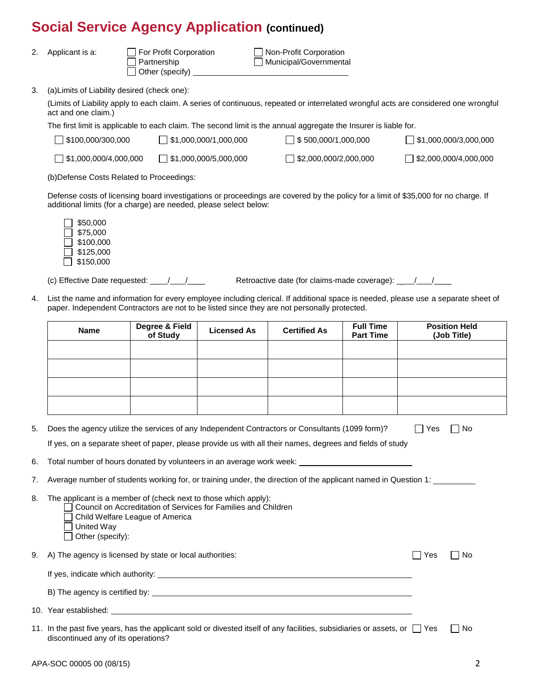| 2. |  | Applicant is a |  |  |
|----|--|----------------|--|--|
|----|--|----------------|--|--|

a: 
a:  $\Box$  For Profit Corporation  $\Box$  Partnership  $\Box$  Municipal/Governmenta Other (specify)

 $\Box$  Municipal/Governmental

3. (a)Limits of Liability desired (check one):

(Limits of Liability apply to each claim. A series of continuous, repeated or interrelated wrongful acts are considered one wrongful act and one claim.)

The first limit is applicable to each claim. The second limit is the annual aggregate the Insurer is liable for.

| 5100,000/300,000                    | $\frac{1}{2}$ \$1,000,000/1,000,000             | $\Box$ \$ 500,000/1,000,000  | $\Box$ \$1,000,000/3,000,000 |
|-------------------------------------|-------------------------------------------------|------------------------------|------------------------------|
| $\frac{1}{2}$ \$1,000,000/4,000,000 | $\left  \frac{6}{31,000,000/5,000,000} \right $ | $\Box$ \$2,000,000/2,000,000 | $\Box$ \$2,000,000/4,000,000 |

(b)Defense Costs Related to Proceedings:

Defense costs of licensing board investigations or proceedings are covered by the policy for a limit of \$35,000 for no charge. If additional limits (for a charge) are needed, please select below:

| \$50,000  |
|-----------|
| \$75,000  |
| \$100.000 |
| \$125.000 |
| \$150,000 |

(c) Effective Date requested: \_\_ / /\_\_\_\_ Retroactive date (for claims-made coverage): \_\_ / /\_\_\_\_

4. List the name and information for every employee including clerical. If additional space is needed, please use a separate sheet of paper. Independent Contractors are not to be listed since they are not personally protected.

| Name | Degree & Field<br>of Study | <b>Licensed As</b> | <b>Certified As</b> | <b>Full Time</b><br><b>Part Time</b> | <b>Position Held</b><br>(Job Title) |
|------|----------------------------|--------------------|---------------------|--------------------------------------|-------------------------------------|
|      |                            |                    |                     |                                      |                                     |
|      |                            |                    |                     |                                      |                                     |
|      |                            |                    |                     |                                      |                                     |
|      |                            |                    |                     |                                      |                                     |

5. Does the agency utilize the services of any Independent Contractors or Consultants (1099 form)?  $\Box$  Yes  $\Box$  No If yes, on a separate sheet of paper, please provide us with all their names, degrees and fields of study

6. Total number of hours donated by volunteers in an average work week:

- 7. Average number of students working for, or training under, the direction of the applicant named in Question 1:
- 8. The applicant is a member of (check next to those which apply):
	- Council on Accreditation of Services for Families and Children
	- Child Welfare League of America
	- United Way
	- Other (specify):
- 9. A) The agency is licensed by state or local authorities:  $\Box$  Yes  $\Box$  Yes  $\Box$  No

| If yes, indicate which authority: |  |
|-----------------------------------|--|
|                                   |  |

- B) The agency is certified by:
- 10. Year established:

<sup>11.</sup> In the past five years, has the applicant sold or divested itself of any facilities, subsidiaries or assets, or  $\Box$  Yes  $\Box$  No discontinued any of its operations?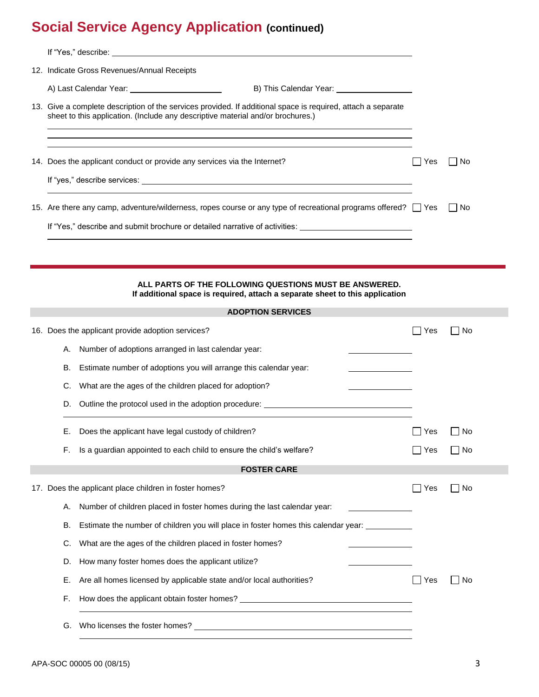|    | 12. Indicate Gross Revenues/Annual Receipts                                                                                                                                                     |     |       |
|----|-------------------------------------------------------------------------------------------------------------------------------------------------------------------------------------------------|-----|-------|
|    | B) This Calendar Year: ____________________                                                                                                                                                     |     |       |
|    | 13. Give a complete description of the services provided. If additional space is required, attach a separate<br>sheet to this application. (Include any descriptive material and/or brochures.) |     |       |
|    | 14. Does the applicant conduct or provide any services via the Internet?                                                                                                                        | Yes | ⊟ No  |
|    |                                                                                                                                                                                                 |     |       |
|    | 15. Are there any camp, adventure/wilderness, ropes course or any type of recreational programs offered? Thes                                                                                   |     | l INo |
|    | If "Yes," describe and submit brochure or detailed narrative of activities: ________________________                                                                                            |     |       |
|    |                                                                                                                                                                                                 |     |       |
|    | ALL PARTS OF THE FOLLOWING QUESTIONS MUST BE ANSWERED.<br>If additional space is required, attach a separate sheet to this application                                                          |     |       |
|    | <b>ADOPTION SERVICES</b>                                                                                                                                                                        |     |       |
|    | 16. Does the applicant provide adoption services?                                                                                                                                               | Yes | l INo |
|    | A. Number of adoptions arranged in last calendar year:                                                                                                                                          |     |       |
| В. | Estimate number of adoptions you will arrange this calendar year:                                                                                                                               |     |       |
| C. | What are the ages of the children placed for adoption?                                                                                                                                          |     |       |
|    | D. Outline the protocol used in the adoption procedure: ________________________                                                                                                                |     |       |
| Е. | Does the applicant have legal custody of children?                                                                                                                                              | Yes | No    |
| F. | Is a guardian appointed to each child to ensure the child's welfare?                                                                                                                            | Yes | No    |
|    | <b>FOSTER CARE</b>                                                                                                                                                                              |     |       |
|    | 17. Does the applicant place children in foster homes?                                                                                                                                          | Yes | ∣ No  |
| А. | Number of children placed in foster homes during the last calendar year:                                                                                                                        |     |       |
| В. | Estimate the number of children you will place in foster homes this calendar year: _________                                                                                                    |     |       |
| C. | What are the ages of the children placed in foster homes?                                                                                                                                       |     |       |
| D. | How many foster homes does the applicant utilize?                                                                                                                                               |     |       |
| Е. | Are all homes licensed by applicable state and/or local authorities?                                                                                                                            | Yes | ∣No   |
| F. |                                                                                                                                                                                                 |     |       |
| G. |                                                                                                                                                                                                 |     |       |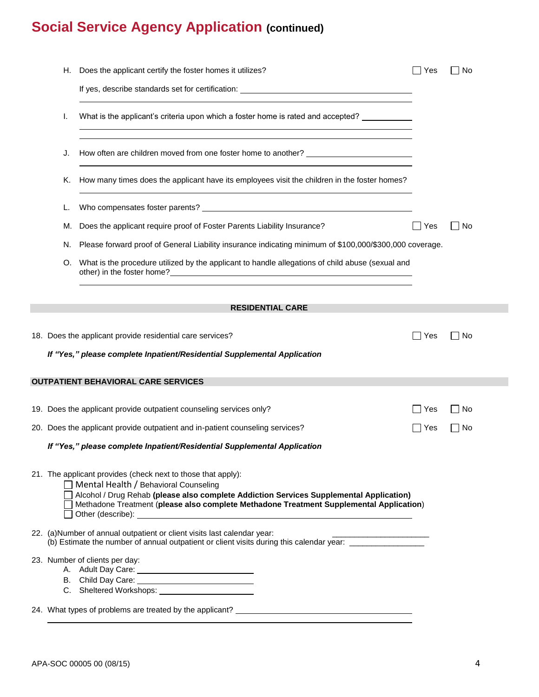| H., | Does the applicant certify the foster homes it utilizes?                                                                                                                                                                                                                                                                                  | Yes      | l No   |
|-----|-------------------------------------------------------------------------------------------------------------------------------------------------------------------------------------------------------------------------------------------------------------------------------------------------------------------------------------------|----------|--------|
|     | If yes, describe standards set for certification: <b>For all any of the standards</b> of the standards of the standards of the standards of the standards of the standards of the standards of the standards of the standards of th                                                                                                       |          |        |
| I.  | What is the applicant's criteria upon which a foster home is rated and accepted?<br>and the control of the control of the control of the control of the control of the control of the control of the                                                                                                                                      |          |        |
| J.  | How often are children moved from one foster home to another? ___________________                                                                                                                                                                                                                                                         |          |        |
| K.  | How many times does the applicant have its employees visit the children in the foster homes?<br><u> 1989 - Johann Stoff, deutscher Stoffen und der Stoffen und der Stoffen und der Stoffen und der Stoffen und de</u>                                                                                                                     |          |        |
|     |                                                                                                                                                                                                                                                                                                                                           |          |        |
| M.  | Does the applicant require proof of Foster Parents Liability Insurance?                                                                                                                                                                                                                                                                   | Yes      | – I No |
| N.  | Please forward proof of General Liability insurance indicating minimum of \$100,000/\$300,000 coverage.                                                                                                                                                                                                                                   |          |        |
| O.  | What is the procedure utilized by the applicant to handle allegations of child abuse (sexual and<br>other) in the foster home?<br><u> and</u> the state of the state of the state of the state of the state of the state of the state of the state of the state of the state of the state of the state of the state of the state of the s |          |        |
|     | <b>RESIDENTIAL CARE</b>                                                                                                                                                                                                                                                                                                                   |          |        |
|     | 18. Does the applicant provide residential care services?                                                                                                                                                                                                                                                                                 | ┓<br>Yes | No     |
|     | If "Yes," please complete Inpatient/Residential Supplemental Application                                                                                                                                                                                                                                                                  |          |        |
|     | <b>OUTPATIENT BEHAVIORAL CARE SERVICES</b>                                                                                                                                                                                                                                                                                                |          |        |
|     | 19. Does the applicant provide outpatient counseling services only?                                                                                                                                                                                                                                                                       | Yes      | l No   |
|     | 20. Does the applicant provide outpatient and in-patient counseling services?                                                                                                                                                                                                                                                             | Yes      | – I No |
|     | If "Yes," please complete Inpatient/Residential Supplemental Application                                                                                                                                                                                                                                                                  |          |        |
|     | 21. The applicant provides (check next to those that apply):<br>□ Mental Health / Behavioral Counseling<br>Alcohol / Drug Rehab (please also complete Addiction Services Supplemental Application)<br>Methadone Treatment (please also complete Methadone Treatment Supplemental Application)<br>$\Box$ Other (describe): $\Box$          |          |        |
|     | 22. (a)Number of annual outpatient or client visits last calendar year:<br>(b) Estimate the number of annual outpatient or client visits during this calendar year: _________________                                                                                                                                                     |          |        |
|     | 23. Number of clients per day:                                                                                                                                                                                                                                                                                                            |          |        |
|     | 24. What types of problems are treated by the applicant? ________________________                                                                                                                                                                                                                                                         |          |        |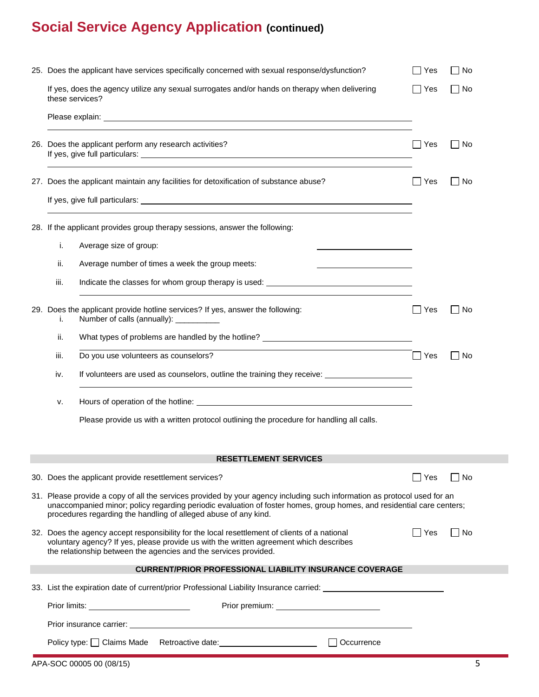|                 | 25. Does the applicant have services specifically concerned with sexual response/dysfunction?                                                                                                                                                                                                                        | Yes    | No     |
|-----------------|----------------------------------------------------------------------------------------------------------------------------------------------------------------------------------------------------------------------------------------------------------------------------------------------------------------------|--------|--------|
| these services? | If yes, does the agency utilize any sexual surrogates and/or hands on therapy when delivering                                                                                                                                                                                                                        | Yes    | No     |
|                 |                                                                                                                                                                                                                                                                                                                      |        |        |
|                 | 26. Does the applicant perform any research activities?                                                                                                                                                                                                                                                              | l IYes | – I No |
|                 | 27. Does the applicant maintain any facilities for detoxification of substance abuse?                                                                                                                                                                                                                                | Yes    | No     |
|                 |                                                                                                                                                                                                                                                                                                                      |        |        |
|                 |                                                                                                                                                                                                                                                                                                                      |        |        |
|                 | 28. If the applicant provides group therapy sessions, answer the following:                                                                                                                                                                                                                                          |        |        |
| i.              | Average size of group:                                                                                                                                                                                                                                                                                               |        |        |
| ii.             | Average number of times a week the group meets:                                                                                                                                                                                                                                                                      |        |        |
| iii.            |                                                                                                                                                                                                                                                                                                                      |        |        |
| i.              | 29. Does the applicant provide hotline services? If yes, answer the following:<br>Number of calls (annually): __________                                                                                                                                                                                             | Yes    | ∣No    |
| ii.             | What types of problems are handled by the hotline? ______________________________                                                                                                                                                                                                                                    |        |        |
| iii.            | Do you use volunteers as counselors?                                                                                                                                                                                                                                                                                 | ∣∣Yes  | No     |
| iv.             | If volunteers are used as counselors, outline the training they receive: __________________________                                                                                                                                                                                                                  |        |        |
| ۷.              |                                                                                                                                                                                                                                                                                                                      |        |        |
|                 | Please provide us with a written protocol outlining the procedure for handling all calls.                                                                                                                                                                                                                            |        |        |
|                 | <b>RESETTLEMENT SERVICES</b>                                                                                                                                                                                                                                                                                         |        |        |
|                 |                                                                                                                                                                                                                                                                                                                      |        |        |
|                 | 30. Does the applicant provide resettlement services?                                                                                                                                                                                                                                                                | ∣ Yes  | No     |
|                 | 31. Please provide a copy of all the services provided by your agency including such information as protocol used for an<br>unaccompanied minor; policy regarding periodic evaluation of foster homes, group homes, and residential care centers;<br>procedures regarding the handling of alleged abuse of any kind. |        |        |
|                 | 32. Does the agency accept responsibility for the local resettlement of clients of a national<br>voluntary agency? If yes, please provide us with the written agreement which describes<br>the relationship between the agencies and the services provided.                                                          | Yes    | – I No |
|                 | <b>CURRENT/PRIOR PROFESSIONAL LIABILITY INSURANCE COVERAGE</b>                                                                                                                                                                                                                                                       |        |        |
|                 | 33. List the expiration date of current/prior Professional Liability Insurance carried:                                                                                                                                                                                                                              |        |        |
|                 | Prior limits: ____________________________                                                                                                                                                                                                                                                                           |        |        |
|                 |                                                                                                                                                                                                                                                                                                                      |        |        |
|                 | Policy type: Claims Made Retroactive date: Contractional District Policy type: Claims Made<br>Occurrence                                                                                                                                                                                                             |        |        |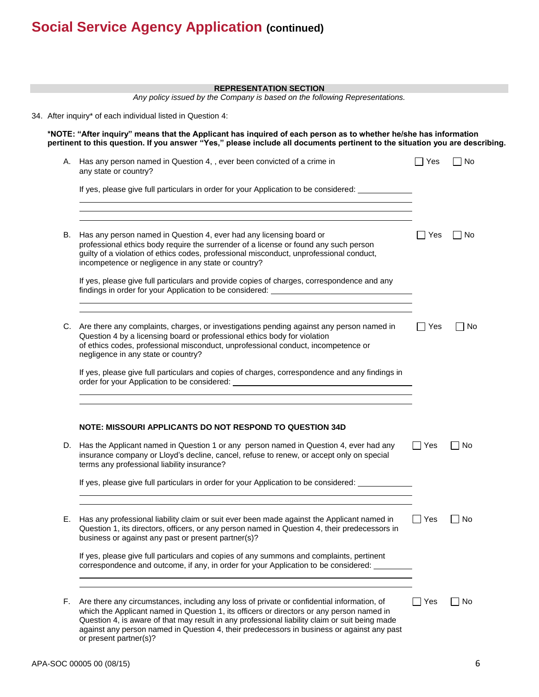|    | <b>REPRESENTATION SECTION</b><br>Any policy issued by the Company is based on the following Representations.                                                                                                                                                                                                                                                                                                      |            |        |
|----|-------------------------------------------------------------------------------------------------------------------------------------------------------------------------------------------------------------------------------------------------------------------------------------------------------------------------------------------------------------------------------------------------------------------|------------|--------|
|    | 34. After inquiry* of each individual listed in Question 4:                                                                                                                                                                                                                                                                                                                                                       |            |        |
|    | *NOTE: "After inquiry" means that the Applicant has inquired of each person as to whether he/she has information<br>pertinent to this question. If you answer "Yes," please include all documents pertinent to the situation you are describing.                                                                                                                                                                  |            |        |
|    | A. Has any person named in Question 4, , ever been convicted of a crime in<br>any state or country?                                                                                                                                                                                                                                                                                                               | l Yes      | No     |
|    | If yes, please give full particulars in order for your Application to be considered: ____________<br><u> 1989 - Andrea Branden, amerikansk politik (d. 1989)</u>                                                                                                                                                                                                                                                  |            |        |
| В. | Has any person named in Question 4, ever had any licensing board or<br>professional ethics body require the surrender of a license or found any such person<br>guilty of a violation of ethics codes, professional misconduct, unprofessional conduct,                                                                                                                                                            | $\Box$ Yes | No     |
|    | incompetence or negligence in any state or country?<br>If yes, please give full particulars and provide copies of charges, correspondence and any<br>findings in order for your Application to be considered: ________________________                                                                                                                                                                            |            |        |
|    | C. Are there any complaints, charges, or investigations pending against any person named in<br>Question 4 by a licensing board or professional ethics body for violation<br>of ethics codes, professional misconduct, unprofessional conduct, incompetence or<br>negligence in any state or country?                                                                                                              | Yes        | ∣ ∣No  |
|    | If yes, please give full particulars and copies of charges, correspondence and any findings in<br>order for your Application to be considered: ___________________________________                                                                                                                                                                                                                                |            |        |
|    | NOTE: MISSOURI APPLICANTS DO NOT RESPOND TO QUESTION 34D                                                                                                                                                                                                                                                                                                                                                          |            |        |
|    | D. Has the Applicant named in Question 1 or any person named in Question 4, ever had any<br>insurance company or Lloyd's decline, cancel, refuse to renew, or accept only on special<br>terms any professional liability insurance?                                                                                                                                                                               | $\Box$ Yes | No     |
|    | If yes, please give full particulars in order for your Application to be considered: _____________                                                                                                                                                                                                                                                                                                                |            |        |
| Е. | Has any professional liability claim or suit ever been made against the Applicant named in<br>Question 1, its directors, officers, or any person named in Question 4, their predecessors in<br>business or against any past or present partner(s)?                                                                                                                                                                | □ Yes      | □ No   |
|    | If yes, please give full particulars and copies of any summons and complaints, pertinent<br>correspondence and outcome, if any, in order for your Application to be considered:                                                                                                                                                                                                                                   |            |        |
| F. | Are there any circumstances, including any loss of private or confidential information, of<br>which the Applicant named in Question 1, its officers or directors or any person named in<br>Question 4, is aware of that may result in any professional liability claim or suit being made<br>against any person named in Question 4, their predecessors in business or against any past<br>or present partner(s)? | □ Yes      | – I No |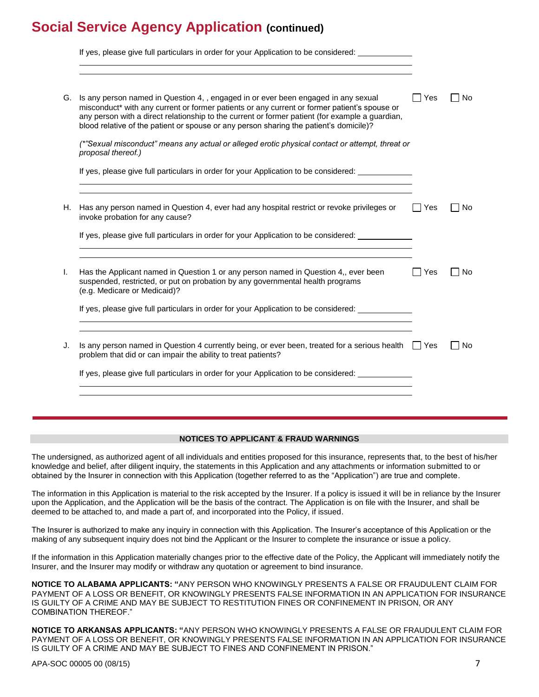|    | If yes, please give full particulars in order for your Application to be considered:                                                                                                                                                                                                                                                                                            |       |           |
|----|---------------------------------------------------------------------------------------------------------------------------------------------------------------------------------------------------------------------------------------------------------------------------------------------------------------------------------------------------------------------------------|-------|-----------|
| G. | Is any person named in Question 4, , engaged in or ever been engaged in any sexual<br>misconduct* with any current or former patients or any current or former patient's spouse or<br>any person with a direct relationship to the current or former patient (for example a guardian,<br>blood relative of the patient or spouse or any person sharing the patient's domicile)? | Yes   | <b>No</b> |
|    | (*"Sexual misconduct" means any actual or alleged erotic physical contact or attempt, threat or<br>proposal thereof.)                                                                                                                                                                                                                                                           |       |           |
|    | If yes, please give full particulars in order for your Application to be considered:                                                                                                                                                                                                                                                                                            |       |           |
| Н. | Has any person named in Question 4, ever had any hospital restrict or revoke privileges or<br>invoke probation for any cause?                                                                                                                                                                                                                                                   | ∣ Yes | No        |
|    | If yes, please give full particulars in order for your Application to be considered:                                                                                                                                                                                                                                                                                            |       |           |
| ı. | Has the Applicant named in Question 1 or any person named in Question 4,, ever been<br>suspended, restricted, or put on probation by any governmental health programs<br>(e.g. Medicare or Medicaid)?                                                                                                                                                                           | Yes   | No        |
|    | If yes, please give full particulars in order for your Application to be considered:                                                                                                                                                                                                                                                                                            |       |           |
| J. | Is any person named in Question 4 currently being, or ever been, treated for a serious health $\Box$ Yes<br>problem that did or can impair the ability to treat patients?                                                                                                                                                                                                       |       | No        |
|    | If yes, please give full particulars in order for your Application to be considered: _____________                                                                                                                                                                                                                                                                              |       |           |

### **NOTICES TO APPLICANT & FRAUD WARNINGS**

The undersigned, as authorized agent of all individuals and entities proposed for this insurance, represents that, to the best of his/her knowledge and belief, after diligent inquiry, the statements in this Application and any attachments or information submitted to or obtained by the Insurer in connection with this Application (together referred to as the "Application") are true and complete.

The information in this Application is material to the risk accepted by the Insurer. If a policy is issued it will be in reliance by the Insurer upon the Application, and the Application will be the basis of the contract. The Application is on file with the Insurer, and shall be deemed to be attached to, and made a part of, and incorporated into the Policy, if issued.

The Insurer is authorized to make any inquiry in connection with this Application. The Insurer's acceptance of this Application or the making of any subsequent inquiry does not bind the Applicant or the Insurer to complete the insurance or issue a policy.

If the information in this Application materially changes prior to the effective date of the Policy, the Applicant will immediately notify the Insurer, and the Insurer may modify or withdraw any quotation or agreement to bind insurance.

**NOTICE TO ALABAMA APPLICANTS: "**ANY PERSON WHO KNOWINGLY PRESENTS A FALSE OR FRAUDULENT CLAIM FOR PAYMENT OF A LOSS OR BENEFIT, OR KNOWINGLY PRESENTS FALSE INFORMATION IN AN APPLICATION FOR INSURANCE IS GUILTY OF A CRIME AND MAY BE SUBJECT TO RESTITUTION FINES OR CONFINEMENT IN PRISON, OR ANY COMBINATION THEREOF."

**NOTICE TO ARKANSAS APPLICANTS: "**ANY PERSON WHO KNOWINGLY PRESENTS A FALSE OR FRAUDULENT CLAIM FOR PAYMENT OF A LOSS OR BENEFIT, OR KNOWINGLY PRESENTS FALSE INFORMATION IN AN APPLICATION FOR INSURANCE IS GUILTY OF A CRIME AND MAY BE SUBJECT TO FINES AND CONFINEMENT IN PRISON."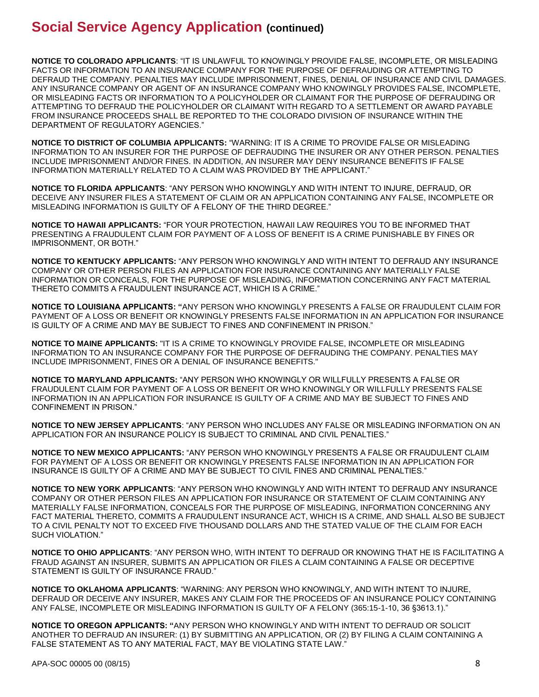**NOTICE TO COLORADO APPLICANTS**: "IT IS UNLAWFUL TO KNOWINGLY PROVIDE FALSE, INCOMPLETE, OR MISLEADING FACTS OR INFORMATION TO AN INSURANCE COMPANY FOR THE PURPOSE OF DEFRAUDING OR ATTEMPTING TO DEFRAUD THE COMPANY. PENALTIES MAY INCLUDE IMPRISONMENT, FINES, DENIAL OF INSURANCE AND CIVIL DAMAGES. ANY INSURANCE COMPANY OR AGENT OF AN INSURANCE COMPANY WHO KNOWINGLY PROVIDES FALSE, INCOMPLETE, OR MISLEADING FACTS OR INFORMATION TO A POLICYHOLDER OR CLAIMANT FOR THE PURPOSE OF DEFRAUDING OR ATTEMPTING TO DEFRAUD THE POLICYHOLDER OR CLAIMANT WITH REGARD TO A SETTLEMENT OR AWARD PAYABLE FROM INSURANCE PROCEEDS SHALL BE REPORTED TO THE COLORADO DIVISION OF INSURANCE WITHIN THE DEPARTMENT OF REGULATORY AGENCIES."

**NOTICE TO DISTRICT OF COLUMBIA APPLICANTS:** "WARNING: IT IS A CRIME TO PROVIDE FALSE OR MISLEADING INFORMATION TO AN INSURER FOR THE PURPOSE OF DEFRAUDING THE INSURER OR ANY OTHER PERSON. PENALTIES INCLUDE IMPRISONMENT AND/OR FINES. IN ADDITION, AN INSURER MAY DENY INSURANCE BENEFITS IF FALSE INFORMATION MATERIALLY RELATED TO A CLAIM WAS PROVIDED BY THE APPLICANT."

**NOTICE TO FLORIDA APPLICANTS**: "ANY PERSON WHO KNOWINGLY AND WITH INTENT TO INJURE, DEFRAUD, OR DECEIVE ANY INSURER FILES A STATEMENT OF CLAIM OR AN APPLICATION CONTAINING ANY FALSE, INCOMPLETE OR MISLEADING INFORMATION IS GUILTY OF A FELONY OF THE THIRD DEGREE."

**NOTICE TO HAWAII APPLICANTS:** "FOR YOUR PROTECTION, HAWAII LAW REQUIRES YOU TO BE INFORMED THAT PRESENTING A FRAUDULENT CLAIM FOR PAYMENT OF A LOSS OF BENEFIT IS A CRIME PUNISHABLE BY FINES OR IMPRISONMENT, OR BOTH."

**NOTICE TO KENTUCKY APPLICANTS:** "ANY PERSON WHO KNOWINGLY AND WITH INTENT TO DEFRAUD ANY INSURANCE COMPANY OR OTHER PERSON FILES AN APPLICATION FOR INSURANCE CONTAINING ANY MATERIALLY FALSE INFORMATION OR CONCEALS, FOR THE PURPOSE OF MISLEADING, INFORMATION CONCERNING ANY FACT MATERIAL THERETO COMMITS A FRAUDULENT INSURANCE ACT, WHICH IS A CRIME."

**NOTICE TO LOUISIANA APPLICANTS: "**ANY PERSON WHO KNOWINGLY PRESENTS A FALSE OR FRAUDULENT CLAIM FOR PAYMENT OF A LOSS OR BENEFIT OR KNOWINGLY PRESENTS FALSE INFORMATION IN AN APPLICATION FOR INSURANCE IS GUILTY OF A CRIME AND MAY BE SUBJECT TO FINES AND CONFINEMENT IN PRISON."

**NOTICE TO MAINE APPLICANTS:** "IT IS A CRIME TO KNOWINGLY PROVIDE FALSE, INCOMPLETE OR MISLEADING INFORMATION TO AN INSURANCE COMPANY FOR THE PURPOSE OF DEFRAUDING THE COMPANY. PENALTIES MAY INCLUDE IMPRISONMENT, FINES OR A DENIAL OF INSURANCE BENEFITS."

**NOTICE TO MARYLAND APPLICANTS:** "ANY PERSON WHO KNOWINGLY OR WILLFULLY PRESENTS A FALSE OR FRAUDULENT CLAIM FOR PAYMENT OF A LOSS OR BENEFIT OR WHO KNOWINGLY OR WILLFULLY PRESENTS FALSE INFORMATION IN AN APPLICATION FOR INSURANCE IS GUILTY OF A CRIME AND MAY BE SUBJECT TO FINES AND CONFINEMENT IN PRISON."

**NOTICE TO NEW JERSEY APPLICANTS**: "ANY PERSON WHO INCLUDES ANY FALSE OR MISLEADING INFORMATION ON AN APPLICATION FOR AN INSURANCE POLICY IS SUBJECT TO CRIMINAL AND CIVIL PENALTIES."

**NOTICE TO NEW MEXICO APPLICANTS:** "ANY PERSON WHO KNOWINGLY PRESENTS A FALSE OR FRAUDULENT CLAIM FOR PAYMENT OF A LOSS OR BENEFIT OR KNOWINGLY PRESENTS FALSE INFORMATION IN AN APPLICATION FOR INSURANCE IS GUILTY OF A CRIME AND MAY BE SUBJECT TO CIVIL FINES AND CRIMINAL PENALTIES."

**NOTICE TO NEW YORK APPLICANTS**: "ANY PERSON WHO KNOWINGLY AND WITH INTENT TO DEFRAUD ANY INSURANCE COMPANY OR OTHER PERSON FILES AN APPLICATION FOR INSURANCE OR STATEMENT OF CLAIM CONTAINING ANY MATERIALLY FALSE INFORMATION, CONCEALS FOR THE PURPOSE OF MISLEADING, INFORMATION CONCERNING ANY FACT MATERIAL THERETO, COMMITS A FRAUDULENT INSURANCE ACT, WHICH IS A CRIME, AND SHALL ALSO BE SUBJECT TO A CIVIL PENALTY NOT TO EXCEED FIVE THOUSAND DOLLARS AND THE STATED VALUE OF THE CLAIM FOR EACH SUCH VIOLATION."

**NOTICE TO OHIO APPLICANTS**: "ANY PERSON WHO, WITH INTENT TO DEFRAUD OR KNOWING THAT HE IS FACILITATING A FRAUD AGAINST AN INSURER, SUBMITS AN APPLICATION OR FILES A CLAIM CONTAINING A FALSE OR DECEPTIVE STATEMENT IS GUILTY OF INSURANCE FRAUD."

**NOTICE TO OKLAHOMA APPLICANTS**: "WARNING: ANY PERSON WHO KNOWINGLY, AND WITH INTENT TO INJURE, DEFRAUD OR DECEIVE ANY INSURER, MAKES ANY CLAIM FOR THE PROCEEDS OF AN INSURANCE POLICY CONTAINING ANY FALSE, INCOMPLETE OR MISLEADING INFORMATION IS GUILTY OF A FELONY (365:15-1-10, 36 §3613.1)."

**NOTICE TO OREGON APPLICANTS: "**ANY PERSON WHO KNOWINGLY AND WITH INTENT TO DEFRAUD OR SOLICIT ANOTHER TO DEFRAUD AN INSURER: (1) BY SUBMITTING AN APPLICATION, OR (2) BY FILING A CLAIM CONTAINING A FALSE STATEMENT AS TO ANY MATERIAL FACT, MAY BE VIOLATING STATE LAW."